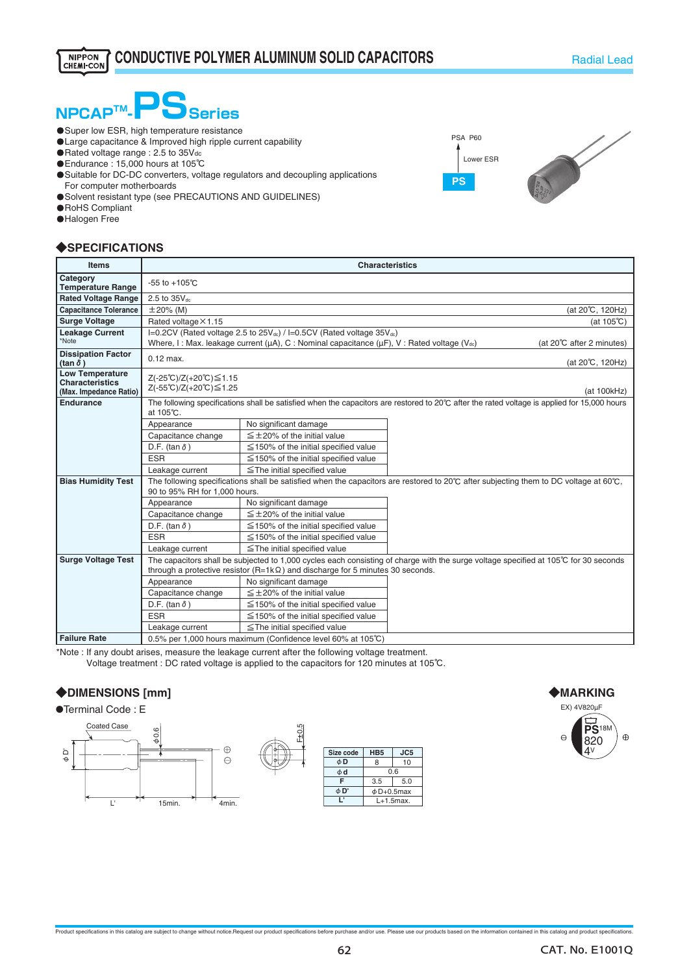# **NPCAP<sup>™</sup>-POSeries**

- **O** Super low ESR, high temperature resistance
- **OLarge capacitance & Improved high ripple current capability**
- ・Rated voltage range : 2.5 to 35Vdc
- ・Endurance : 15,000 hours at 105℃
- ・Suitable for DC-DC converters, voltage regulators and decoupling applications For computer motherboards
- **O** Solvent resistant type (see PRECAUTIONS AND GUIDELINES)
- **O**RoHS Compliant
- **O**Halogen Free

### ◆**SPECIFICATIONS**

| <b>Items</b>                                                               | <b>Characteristics</b>                                                                                                                                                                                                                          |                                            |  |  |  |  |
|----------------------------------------------------------------------------|-------------------------------------------------------------------------------------------------------------------------------------------------------------------------------------------------------------------------------------------------|--------------------------------------------|--|--|--|--|
| Category<br><b>Temperature Range</b>                                       | $-55$ to $+105^{\circ}$ C                                                                                                                                                                                                                       |                                            |  |  |  |  |
| <b>Rated Voltage Range</b>                                                 | 2.5 to 35Vdc                                                                                                                                                                                                                                    |                                            |  |  |  |  |
| <b>Capacitance Tolerance</b>                                               | $\pm 20\%$ (M)<br>(at 20°C, 120Hz)                                                                                                                                                                                                              |                                            |  |  |  |  |
| <b>Surge Voltage</b>                                                       | Rated voltage × 1.15<br>(at $105^{\circ}$ C)                                                                                                                                                                                                    |                                            |  |  |  |  |
| <b>Leakage Current</b><br>*Note                                            | I=0.2CV (Rated voltage 2.5 to 25V <sub>dc</sub> ) / I=0.5CV (Rated voltage 35V <sub>dc</sub> )<br>Where, I: Max. leakage current ( $\mu$ A), C: Nominal capacitance ( $\mu$ F), V: Rated voltage (V <sub>ac</sub> )<br>(at 20℃ after 2 minutes) |                                            |  |  |  |  |
| <b>Dissipation Factor</b><br>(tan $\delta$ )                               | $0.12$ max.<br>(at 20℃, 120Hz)                                                                                                                                                                                                                  |                                            |  |  |  |  |
| <b>Low Temperature</b><br><b>Characteristics</b><br>(Max. Impedance Ratio) | Z(-25℃)/Z(+20℃)≤1.15<br>Z(-55℃)/Z(+20℃)≤1.25<br>(at 100kHz)                                                                                                                                                                                     |                                            |  |  |  |  |
| <b>Endurance</b>                                                           | The following specifications shall be satisfied when the capacitors are restored to 20°C after the rated voltage is applied for 15,000 hours<br>at 105℃.                                                                                        |                                            |  |  |  |  |
|                                                                            | Appearance                                                                                                                                                                                                                                      | No significant damage                      |  |  |  |  |
|                                                                            | Capacitance change                                                                                                                                                                                                                              | $\leq \pm 20\%$ of the initial value       |  |  |  |  |
|                                                                            | D.F. (tan $\delta$ )                                                                                                                                                                                                                            | $\leq$ 150% of the initial specified value |  |  |  |  |
|                                                                            | <b>ESR</b>                                                                                                                                                                                                                                      | $\leq$ 150% of the initial specified value |  |  |  |  |
|                                                                            | Leakage current                                                                                                                                                                                                                                 | $\le$ The initial specified value          |  |  |  |  |
| <b>Bias Humidity Test</b>                                                  | The following specifications shall be satisfied when the capacitors are restored to 20°C after subjecting them to DC voltage at 60°C.<br>90 to 95% RH for 1,000 hours.                                                                          |                                            |  |  |  |  |
|                                                                            | Appearance                                                                                                                                                                                                                                      | No significant damage                      |  |  |  |  |
|                                                                            | Capacitance change                                                                                                                                                                                                                              | $\leq$ ±20% of the initial value           |  |  |  |  |
|                                                                            | D.F. (tan $\delta$ )                                                                                                                                                                                                                            | $\leq$ 150% of the initial specified value |  |  |  |  |
|                                                                            | <b>ESR</b>                                                                                                                                                                                                                                      | $\leq$ 150% of the initial specified value |  |  |  |  |
|                                                                            | Leakage current                                                                                                                                                                                                                                 | $\le$ The initial specified value          |  |  |  |  |
| <b>Surge Voltage Test</b>                                                  | The capacitors shall be subjected to 1,000 cycles each consisting of charge with the surge voltage specified at 105℃ for 30 seconds<br>through a protective resistor ( $R=1k\Omega$ ) and discharge for 5 minutes 30 seconds.                   |                                            |  |  |  |  |
|                                                                            |                                                                                                                                                                                                                                                 |                                            |  |  |  |  |
|                                                                            | Appearance                                                                                                                                                                                                                                      | No significant damage                      |  |  |  |  |
|                                                                            | Capacitance change                                                                                                                                                                                                                              | $\leq \pm 20\%$ of the initial value       |  |  |  |  |
|                                                                            | D.F. (tan $\delta$ )                                                                                                                                                                                                                            | $\leq$ 150% of the initial specified value |  |  |  |  |
|                                                                            | <b>ESR</b>                                                                                                                                                                                                                                      | $\leq$ 150% of the initial specified value |  |  |  |  |
|                                                                            | Leakage current                                                                                                                                                                                                                                 | $\le$ The initial specified value          |  |  |  |  |
| <b>Failure Rate</b>                                                        | 0.5% per 1,000 hours maximum (Confidence level 60% at 105°C)                                                                                                                                                                                    |                                            |  |  |  |  |

\*Note : If any doubt arises, measure the leakage current after the following voltage treatment.

Voltage treatment : DC rated voltage is applied to the capacitors for 120 minutes at 105℃.

#### ◆**DIMENSIONS [mm]**

●Terminal Code : E









**PS**